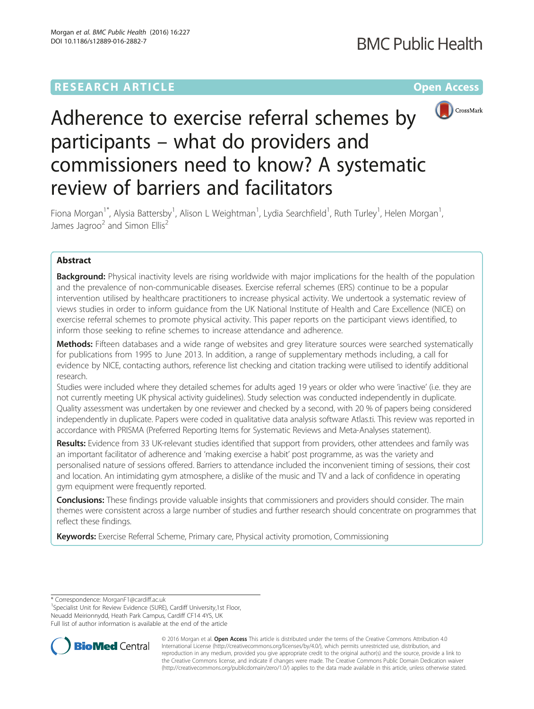# **RESEARCH ARTICLE External Structure of the Community Community Community Community Community Community Community**



# Adherence to exercise referral schemes by participants – what do providers and commissioners need to know? A systematic review of barriers and facilitators

Fiona Morgan<sup>1\*</sup>, Alysia Battersby<sup>1</sup>, Alison L Weightman<sup>1</sup>, Lydia Searchfield<sup>1</sup>, Ruth Turley<sup>1</sup>, Helen Morgan<sup>1</sup> , James Jagroo<sup>2</sup> and Simon Ellis<sup>2</sup>

# Abstract

**Background:** Physical inactivity levels are rising worldwide with major implications for the health of the population and the prevalence of non-communicable diseases. Exercise referral schemes (ERS) continue to be a popular intervention utilised by healthcare practitioners to increase physical activity. We undertook a systematic review of views studies in order to inform guidance from the UK National Institute of Health and Care Excellence (NICE) on exercise referral schemes to promote physical activity. This paper reports on the participant views identified, to inform those seeking to refine schemes to increase attendance and adherence.

Methods: Fifteen databases and a wide range of websites and grey literature sources were searched systematically for publications from 1995 to June 2013. In addition, a range of supplementary methods including, a call for evidence by NICE, contacting authors, reference list checking and citation tracking were utilised to identify additional research.

Studies were included where they detailed schemes for adults aged 19 years or older who were 'inactive' (i.e. they are not currently meeting UK physical activity guidelines). Study selection was conducted independently in duplicate. Quality assessment was undertaken by one reviewer and checked by a second, with 20 % of papers being considered independently in duplicate. Papers were coded in qualitative data analysis software Atlas.ti. This review was reported in accordance with PRISMA (Preferred Reporting Items for Systematic Reviews and Meta-Analyses statement).

Results: Evidence from 33 UK-relevant studies identified that support from providers, other attendees and family was an important facilitator of adherence and 'making exercise a habit' post programme, as was the variety and personalised nature of sessions offered. Barriers to attendance included the inconvenient timing of sessions, their cost and location. An intimidating gym atmosphere, a dislike of the music and TV and a lack of confidence in operating gym equipment were frequently reported.

Conclusions: These findings provide valuable insights that commissioners and providers should consider. The main themes were consistent across a large number of studies and further research should concentrate on programmes that reflect these findings.

Keywords: Exercise Referral Scheme, Primary care, Physical activity promotion, Commissioning

<sup>1</sup>Specialist Unit for Review Evidence (SURE), Cardiff University,1st Floor, Neuadd Meirionnydd, Heath Park Campus, Cardiff CF14 4YS, UK Full list of author information is available at the end of the article



© 2016 Morgan et al. Open Access This article is distributed under the terms of the Creative Commons Attribution 4.0 International License [\(http://creativecommons.org/licenses/by/4.0/](http://creativecommons.org/licenses/by/4.0/)), which permits unrestricted use, distribution, and reproduction in any medium, provided you give appropriate credit to the original author(s) and the source, provide a link to the Creative Commons license, and indicate if changes were made. The Creative Commons Public Domain Dedication waiver [\(http://creativecommons.org/publicdomain/zero/1.0/](http://creativecommons.org/publicdomain/zero/1.0/)) applies to the data made available in this article, unless otherwise stated.

<sup>\*</sup> Correspondence: [MorganF1@cardiff.ac.uk](mailto:MorganF1@cardiff.ac.uk) <sup>1</sup>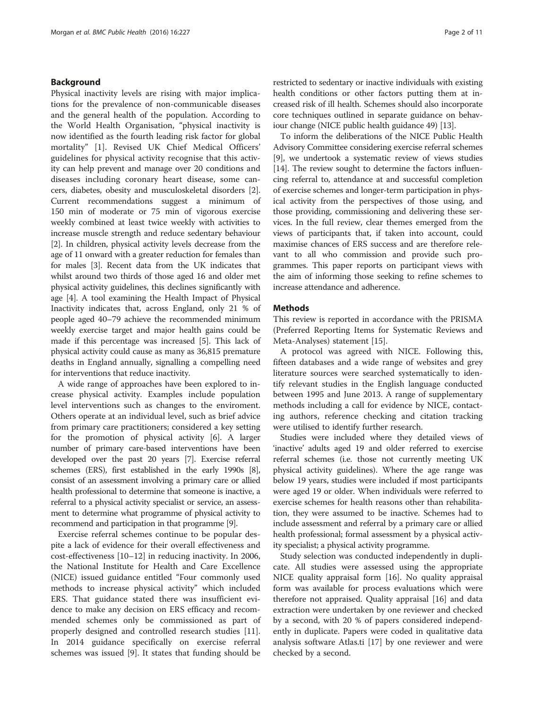# Background

Physical inactivity levels are rising with major implications for the prevalence of non-communicable diseases and the general health of the population. According to the World Health Organisation, "physical inactivity is now identified as the fourth leading risk factor for global mortality" [[1\]](#page-9-0). Revised UK Chief Medical Officers' guidelines for physical activity recognise that this activity can help prevent and manage over 20 conditions and diseases including coronary heart disease, some cancers, diabetes, obesity and musculoskeletal disorders [[2](#page-9-0)]. Current recommendations suggest a minimum of 150 min of moderate or 75 min of vigorous exercise weekly combined at least twice weekly with activities to increase muscle strength and reduce sedentary behaviour [[2\]](#page-9-0). In children, physical activity levels decrease from the age of 11 onward with a greater reduction for females than for males [\[3](#page-9-0)]. Recent data from the UK indicates that whilst around two thirds of those aged 16 and older met physical activity guidelines, this declines significantly with age [\[4\]](#page-9-0). A tool examining the Health Impact of Physical Inactivity indicates that, across England, only 21 % of people aged 40–79 achieve the recommended minimum weekly exercise target and major health gains could be made if this percentage was increased [\[5\]](#page-9-0). This lack of physical activity could cause as many as 36,815 premature deaths in England annually, signalling a compelling need for interventions that reduce inactivity.

A wide range of approaches have been explored to increase physical activity. Examples include population level interventions such as changes to the enviroment. Others operate at an individual level, such as brief advice from primary care practitioners; considered a key setting for the promotion of physical activity [\[6](#page-9-0)]. A larger number of primary care-based interventions have been developed over the past 20 years [[7](#page-9-0)]. Exercise referral schemes (ERS), first established in the early 1990s [[8](#page-9-0)], consist of an assessment involving a primary care or allied health professional to determine that someone is inactive, a referral to a physical activity specialist or service, an assessment to determine what programme of physical activity to recommend and participation in that programme [[9](#page-9-0)].

Exercise referral schemes continue to be popular despite a lack of evidence for their overall effectiveness and cost-effectiveness [[10](#page-9-0)–[12](#page-9-0)] in reducing inactivity. In 2006, the National Institute for Health and Care Excellence (NICE) issued guidance entitled "Four commonly used methods to increase physical activity" which included ERS. That guidance stated there was insufficient evidence to make any decision on ERS efficacy and recommended schemes only be commissioned as part of properly designed and controlled research studies [\[11](#page-9-0)]. In 2014 guidance specifically on exercise referral schemes was issued [\[9](#page-9-0)]. It states that funding should be restricted to sedentary or inactive individuals with existing health conditions or other factors putting them at increased risk of ill health. Schemes should also incorporate core techniques outlined in separate guidance on behaviour change (NICE public health guidance 49) [\[13\]](#page-9-0).

To inform the deliberations of the NICE Public Health Advisory Committee considering exercise referral schemes [[9\]](#page-9-0), we undertook a systematic review of views studies [[14](#page-9-0)]. The review sought to determine the factors influencing referral to, attendance at and successful completion of exercise schemes and longer-term participation in physical activity from the perspectives of those using, and those providing, commissioning and delivering these services. In the full review, clear themes emerged from the views of participants that, if taken into account, could maximise chances of ERS success and are therefore relevant to all who commission and provide such programmes. This paper reports on participant views with the aim of informing those seeking to refine schemes to increase attendance and adherence.

# **Methods**

This review is reported in accordance with the PRISMA (Preferred Reporting Items for Systematic Reviews and Meta-Analyses) statement [\[15](#page-9-0)].

A protocol was agreed with NICE. Following this, fifteen databases and a wide range of websites and grey literature sources were searched systematically to identify relevant studies in the English language conducted between 1995 and June 2013. A range of supplementary methods including a call for evidence by NICE, contacting authors, reference checking and citation tracking were utilised to identify further research.

Studies were included where they detailed views of 'inactive' adults aged 19 and older referred to exercise referral schemes (i.e. those not currently meeting UK physical activity guidelines). Where the age range was below 19 years, studies were included if most participants were aged 19 or older. When individuals were referred to exercise schemes for health reasons other than rehabilitation, they were assumed to be inactive. Schemes had to include assessment and referral by a primary care or allied health professional; formal assessment by a physical activity specialist; a physical activity programme.

Study selection was conducted independently in duplicate. All studies were assessed using the appropriate NICE quality appraisal form [\[16\]](#page-9-0). No quality appraisal form was available for process evaluations which were therefore not appraised. Quality appraisal [[16](#page-9-0)] and data extraction were undertaken by one reviewer and checked by a second, with 20 % of papers considered independently in duplicate. Papers were coded in qualitative data analysis software Atlas.ti [[17](#page-9-0)] by one reviewer and were checked by a second.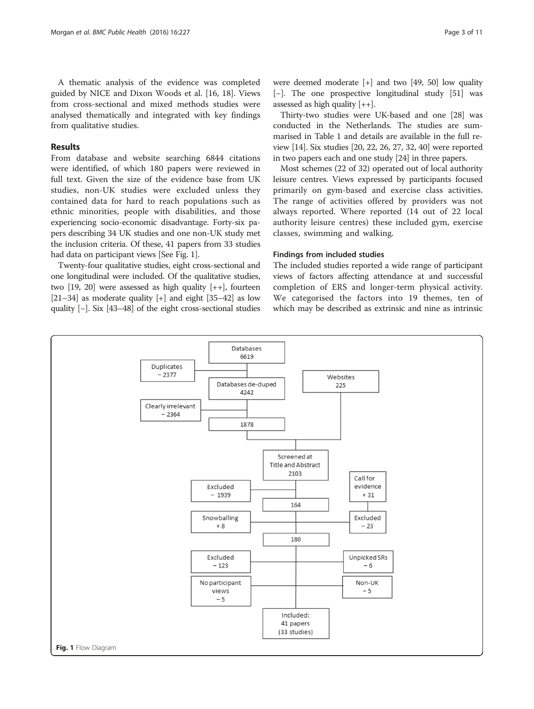A thematic analysis of the evidence was completed guided by NICE and Dixon Woods et al. [\[16](#page-9-0), [18\]](#page-9-0). Views from cross-sectional and mixed methods studies were analysed thematically and integrated with key findings from qualitative studies.

# Results

From database and website searching 6844 citations were identified, of which 180 papers were reviewed in full text. Given the size of the evidence base from UK studies, non-UK studies were excluded unless they contained data for hard to reach populations such as ethnic minorities, people with disabilities, and those experiencing socio-economic disadvantage. Forty-six papers describing 34 UK studies and one non-UK study met the inclusion criteria. Of these, 41 papers from 33 studies had data on participant views [See Fig. 1].

Twenty-four qualitative studies, eight cross-sectional and one longitudinal were included. Of the qualitative studies, two  $[19, 20]$  were assessed as high quality  $[++]$ , fourteen  $[21-34]$  $[21-34]$  $[21-34]$  $[21-34]$  as moderate quality  $[+]$  and eight  $[35-42]$  $[35-42]$  $[35-42]$  $[35-42]$  as low quality [−]. Six [[43](#page-10-0)–[48](#page-10-0)] of the eight cross-sectional studies

were deemed moderate  $[+]$  and two  $[49, 50]$  $[49, 50]$  low quality [−]. The one prospective longitudinal study [[51](#page-10-0)] was assessed as high quality [++].

Thirty-two studies were UK-based and one [[28](#page-9-0)] was conducted in the Netherlands. The studies are summarised in Table [1](#page-3-0) and details are available in the full review [[14](#page-9-0)]. Six studies [[20](#page-9-0), [22, 26](#page-9-0), [27, 32](#page-9-0), [40\]](#page-10-0) were reported in two papers each and one study [\[24\]](#page-9-0) in three papers.

Most schemes (22 of 32) operated out of local authority leisure centres. Views expressed by participants focused primarily on gym-based and exercise class activities. The range of activities offered by providers was not always reported. Where reported (14 out of 22 local authority leisure centres) these included gym, exercise classes, swimming and walking.

#### Findings from included studies

The included studies reported a wide range of participant views of factors affecting attendance at and successful completion of ERS and longer-term physical activity. We categorised the factors into 19 themes, ten of which may be described as extrinsic and nine as intrinsic

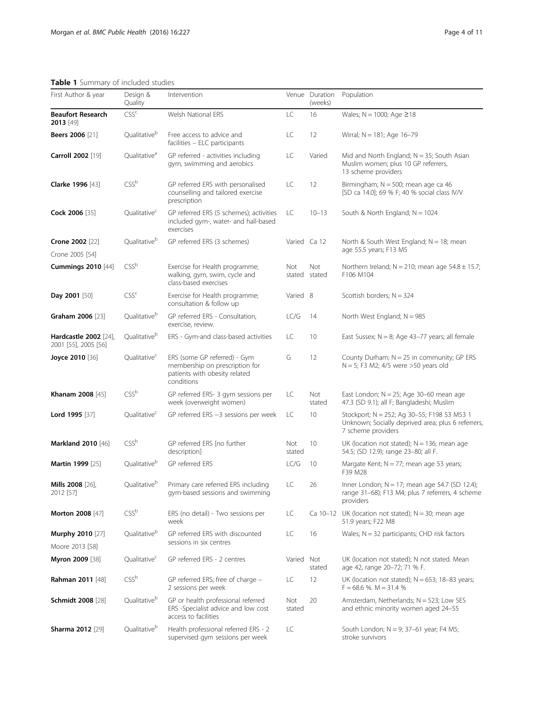<span id="page-3-0"></span>Table 1 Summary of included studies

| wie i sammary or included stadies             |                          |                                                                                                               |               |                           |                                                                                                                         |
|-----------------------------------------------|--------------------------|---------------------------------------------------------------------------------------------------------------|---------------|---------------------------|-------------------------------------------------------------------------------------------------------------------------|
| First Author & year                           | Design &<br>Quality      | Intervention                                                                                                  |               | Venue Duration<br>(weeks) | Population                                                                                                              |
| <b>Beaufort Research</b><br>2013 [49]         | CSS <sup>c</sup>         | Welsh National ERS                                                                                            | LC            | 16                        | Wales; $N = 1000$ ; Age ≥18                                                                                             |
| <b>Beers 2006</b> [21]                        | Qualitative <sup>b</sup> | Free access to advice and<br>facilities - ELC participants                                                    | LC            | 12                        | Wirral; N = 181; Age 16-79                                                                                              |
| Carroll 2002 [19]                             | Qualitative <sup>a</sup> | GP referred - activities including<br>gym, swimming and aerobics                                              | LC            | Varied                    | Mid and North England; $N = 35$ ; South Asian<br>Muslim women; plus 10 GP referrers,<br>13 scheme providers             |
| <b>Clarke 1996</b> [43]                       | CSS <sup>b</sup>         | GP referred ERS with personalised<br>counselling and tailored exercise<br>prescription                        | LC            | 12                        | Birmingham; $N = 500$ ; mean age ca 46<br>[SD ca 14.0]; 69 % F; 40 % social class IV/V                                  |
| Cock 2006 [35]                                | Qualitative              | GP referred ERS (5 schemes); activities<br>included gym-, water- and hall-based<br>exercises                  | LC            | $10 - 13$                 | South & North England; $N = 1024$                                                                                       |
| <b>Crone 2002</b> [22]                        | Qualitative <sup>b</sup> | GP referred ERS (3 schemes)                                                                                   |               | Varied Ca 12              | North & South West England; $N = 18$ ; mean<br>age 55.5 years; F13 M5                                                   |
| Crone 2005 [54]                               |                          |                                                                                                               |               |                           |                                                                                                                         |
| <b>Cummings 2010 [44]</b>                     | $CSS^b$                  | Exercise for Health programme;<br>walking, gym, swim, cycle and<br>class-based exercises                      | Not           | Not<br>stated stated      | Northern Ireland; $N = 210$ ; mean age $54.8 \pm 15.7$ ;<br>F106 M104                                                   |
| Day 2001 [50]                                 | CSS <sup>c</sup>         | Exercise for Health programme;<br>consultation & follow up                                                    | Varied 8      |                           | Scottish borders; $N = 324$                                                                                             |
| Graham 2006 [23]                              | Qualitative <sup>b</sup> | GP referred ERS - Consultation,<br>exercise, review.                                                          | LC/G          | 14                        | North West England; $N = 985$                                                                                           |
| Hardcastle 2002 [24],<br>2001 [55], 2005 [56] | Qualitativeb             | ERS - Gym-and class-based activities                                                                          | LC            | 10                        | East Sussex; $N = 8$ ; Age 43–77 years; all female                                                                      |
| <b>Joyce 2010</b> [36]                        | Qualitative <sup>c</sup> | ERS (some GP referred) - Gym<br>membership on prescription for<br>patients with obesity related<br>conditions | G             | 12                        | County Durham; $N = 25$ in community; GP ERS<br>$N = 5$ ; F3 M2; 4/5 were >50 years old                                 |
| <b>Khanam 2008 [45]</b>                       | $CSS^b$                  | GP referred ERS- 3 gym sessions per<br>week (overweight women)                                                | LC            | Not<br>stated             | East London; $N = 25$ ; Age 30-60 mean age<br>47.3 (SD 9.1); all F; Bangladeshi; Muslim                                 |
| Lord 1995 [37]                                | Qualitative <sup>c</sup> | GP referred ERS -3 sessions per week                                                                          | LC            | 10                        | Stockport; N = 252; Ag 30-55; F198 53 M53 1<br>Unknown; Socially deprived area; plus 6 referrers,<br>7 scheme providers |
| Markland 2010 [46]                            | CSS <sup>b</sup>         | GP referred ERS [no further<br>description]                                                                   | Not<br>stated | 10                        | UK (location not stated); $N = 136$ ; mean age<br>54.5; (SD 12.9); range 23-80; all F.                                  |
| <b>Martin 1999</b> [25]                       | Qualitative <sup>p</sup> | GP referred ERS                                                                                               | LC/G          | 10                        | Margate Kent; $N = 77$ ; mean age 53 years;<br>F39 M28                                                                  |
| <b>Mills 2008</b> [26],<br>2012 [57]          | Qualitativeb             | Primary care referred ERS including<br>gym-based sessions and swimming                                        | LC            | 26                        | Inner London; $N = 17$ ; mean age 54.7 (SD 12.4);<br>range 31-68); F13 M4; plus 7 referrers, 4 scheme<br>providers      |
| Morton 2008 [47]                              | CSS <sup>b</sup>         | ERS (no detail) - Two sessions per<br>week                                                                    | LC            |                           | Ca $10-12$ UK (location not stated); $N = 30$ ; mean age<br>51.9 years; F22 M8                                          |
| <b>Murphy 2010 [27]</b><br>Moore 2013 [58]    | Qualitative <sup>p</sup> | GP referred ERS with discounted<br>sessions in six centres                                                    | LC            | 16                        | Wales; $N = 32$ participants; CHD risk factors                                                                          |
| <b>Myron 2009</b> [38]                        | Qualitative <sup>c</sup> | GP referred ERS - 2 centres                                                                                   | Varied Not    | stated                    | UK (location not stated); N not stated. Mean<br>age 42, range 20-72; 71 % F.                                            |
| <b>Rahman 2011</b> [48]                       | $CSS^b$                  | GP referred ERS; free of charge -<br>2 sessions per week                                                      | LC            | 12                        | UK (location not stated); $N = 653$ ; 18–83 years;<br>$F = 68.6$ %. M = 31.4 %                                          |
| <b>Schmidt 2008 [28]</b>                      | Qualitative <sup>b</sup> | GP or health professional referred<br>ERS -Specialist advice and low cost<br>access to facilities             | Not<br>stated | 20                        | Amsterdam, Netherlands; $N = 523$ ; Low SES<br>and ethnic minority women aged 24-55                                     |
| <b>Sharma 2012</b> [29]                       | Qualitative <sup>b</sup> | Health professional referred ERS - 2<br>supervised gym sessions per week                                      | LC            |                           | South London; $N = 9$ ; 37-61 year; F4 M5;<br>stroke survivors                                                          |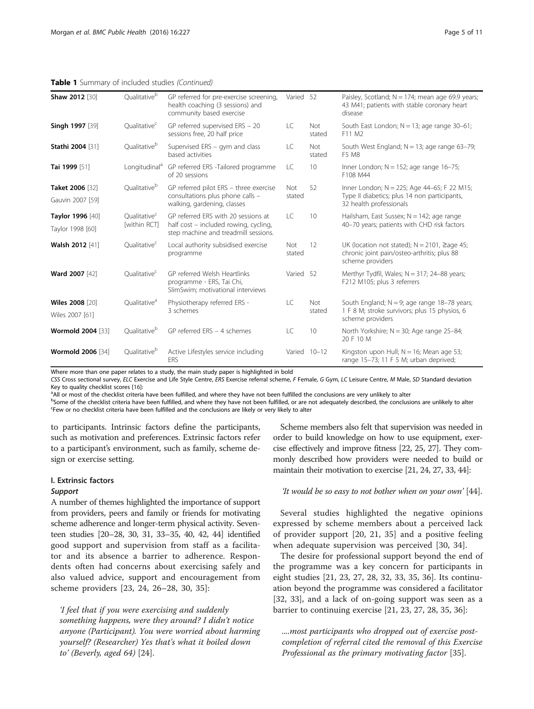Table 1 Summary of included studies (Continued)

| Shaw 2012 [30]    | Oualitativeb                             | GP referred for pre-exercise screening,<br>health coaching (3 sessions) and<br>community based exercise              | Varied 52                |                      | Paisley, Scotland; $N = 174$ ; mean age 69.9 years;<br>43 M41; patients with stable coronary heart<br>disease            |
|-------------------|------------------------------------------|----------------------------------------------------------------------------------------------------------------------|--------------------------|----------------------|--------------------------------------------------------------------------------------------------------------------------|
| Singh 1997 [39]   | Qualitative <sup>c</sup>                 | GP referred supervised ERS - 20<br>sessions free, 20 half price                                                      | LC                       | <b>Not</b><br>stated | South East London; $N = 13$ ; age range 30-61;<br>F11 M2                                                                 |
| Stathi 2004 [31]  | Qualitative <sup>b</sup>                 | Supervised ERS - gym and class<br>based activities                                                                   | LC                       | <b>Not</b><br>stated | South West England; $N = 13$ ; age range 63-79;<br>F5 M8                                                                 |
| Tai 1999 [51]     | Longitudinal <sup>a</sup>                | GP referred ERS -Tailored programme<br>of 20 sessions                                                                | LC                       | 10                   | Inner London; $N = 152$ ; age range 16-75;<br>F108 M44                                                                   |
| Taket 2006 [32]   | Oualitative <sup>b</sup>                 | GP referred pilot ERS - three exercise<br>consultations plus phone calls -<br>walking, gardening, classes            | Not<br>stated            | 52                   | Inner London; N = 225; Age 44-65; F 22 M15;<br>Type II diabetics; plus 14 non participants,<br>32 health professionals   |
| Gauvin 2007 [59]  |                                          |                                                                                                                      |                          |                      |                                                                                                                          |
| Taylor 1996 [40]  | Oualitative <sup>c</sup><br>[within RCT] | GP referred ERS with 20 sessions at<br>half cost - included rowing, cycling,<br>step machine and treadmill sessions. | LC                       | 10                   | Hailsham, East Sussex; $N = 142$ ; age range<br>40-70 years; patients with CHD risk factors                              |
| Taylor 1998 [60]  |                                          |                                                                                                                      |                          |                      |                                                                                                                          |
| Walsh 2012 [41]   | Oualitative <sup>c</sup>                 | Local authority subsidised exercise<br>programme                                                                     | Not<br>stated            | 12                   | UK (location not stated); $N = 2101$ , $\geq$ age 45;<br>chronic joint pain/osteo-arthritis; plus 88<br>scheme providers |
| Ward 2007 [42]    | Qualitative <sup>c</sup>                 | GP referred Welsh Heartlinks<br>programme - ERS, Tai Chi,<br>SlimSwim: motivational interviews                       | Varied 52                |                      | Merthyr Tydfil, Wales; $N = 317$ ; 24-88 years;<br>F212 M105; plus 3 referrers                                           |
| Wiles 2008 [20]   | Qualitative <sup>a</sup>                 | Physiotherapy referred ERS -<br>3 schemes                                                                            | $\overline{\mathcal{C}}$ | Not<br>stated        | South England; $N = 9$ ; age range 18-78 years;<br>1 F 8 M; stroke survivors; plus 15 physios, 6<br>scheme providers     |
| Wiles 2007 [61]   |                                          |                                                                                                                      |                          |                      |                                                                                                                          |
| Wormold 2004 [33] | Oualitative <sup>b</sup>                 | GP referred ERS - 4 schemes                                                                                          | LC                       | 10                   | North Yorkshire; $N = 30$ ; Age range 25-84;<br>20 F 10 M                                                                |
| Wormold 2006 [34] | Qualitative <sup>b</sup>                 | Active Lifestyles service including<br><b>FRS</b>                                                                    |                          | Varied 10-12         | Kingston upon Hull; $N = 16$ ; Mean age 53;<br>range 15-73; 11 F 5 M; urban deprived;                                    |

Where more than one paper relates to a study, the main study paper is highlighted in bold

CSS Cross sectional survey, ELC Exercise and Life Style Centre, ERS Exercise referral scheme, F Female, G Gym, LC Leisure Centre, M Male, SD Standard deviation Key to quality checklist scores [\[16](#page-9-0)]:

<sup>a</sup> All or most of the checklist criteria have been fulfilled, and where they have not been fulfilled the conclusions are very unlikely to alter

b Some of the checklist criteria have been fulfilled, and where they have not been fulfilled, or are not adequately described, the conclusions are unlikely to alter criteria have been fulfilled and the conclusions are pric Few or no checklist criteria have been fulfilled and the conclusions are likely or very likely to alter

to participants. Intrinsic factors define the participants, such as motivation and preferences. Extrinsic factors refer to a participant's environment, such as family, scheme design or exercise setting.

# I. Extrinsic factors

# Support

A number of themes highlighted the importance of support from providers, peers and family or friends for motivating scheme adherence and longer-term physical activity. Seventeen studies [\[20](#page-9-0)–[28, 30](#page-9-0), [31](#page-9-0), [33](#page-9-0)–[35](#page-9-0), [40, 42, 44\]](#page-10-0) identified good support and supervision from staff as a facilitator and its absence a barrier to adherence. Respondents often had concerns about exercising safely and also valued advice, support and encouragement from scheme providers [[23, 24, 26](#page-9-0)–[28](#page-9-0), [30](#page-9-0), [35](#page-9-0)]:

'I feel that if you were exercising and suddenly something happens, were they around? I didn't notice anyone (Participant). You were worried about harming yourself? (Researcher) Yes that's what it boiled down to' (Beverly, aged 64) [\[24\]](#page-9-0).

Scheme members also felt that supervision was needed in order to build knowledge on how to use equipment, exercise effectively and improve fitness [\[22, 25](#page-9-0), [27\]](#page-9-0). They commonly described how providers were needed to build or maintain their motivation to exercise [[21](#page-9-0), [24](#page-9-0), [27](#page-9-0), [33](#page-9-0), [44](#page-10-0)]:

#### 'It would be so easy to not bother when on your own' [\[44\]](#page-10-0).

Several studies highlighted the negative opinions expressed by scheme members about a perceived lack of provider support [[20](#page-9-0), [21, 35](#page-9-0)] and a positive feeling when adequate supervision was perceived [[30, 34\]](#page-9-0).

The desire for professional support beyond the end of the programme was a key concern for participants in eight studies [\[21](#page-9-0), [23, 27, 28](#page-9-0), [32, 33](#page-9-0), [35, 36](#page-9-0)]. Its continuation beyond the programme was considered a facilitator [[32, 33\]](#page-9-0), and a lack of on-going support was seen as a barrier to continuing exercise [[21, 23, 27, 28](#page-9-0), [35](#page-9-0), [36](#page-9-0)]:

....most participants who dropped out of exercise postcompletion of referral cited the removal of this Exercise Professional as the primary motivating factor [[35\]](#page-9-0).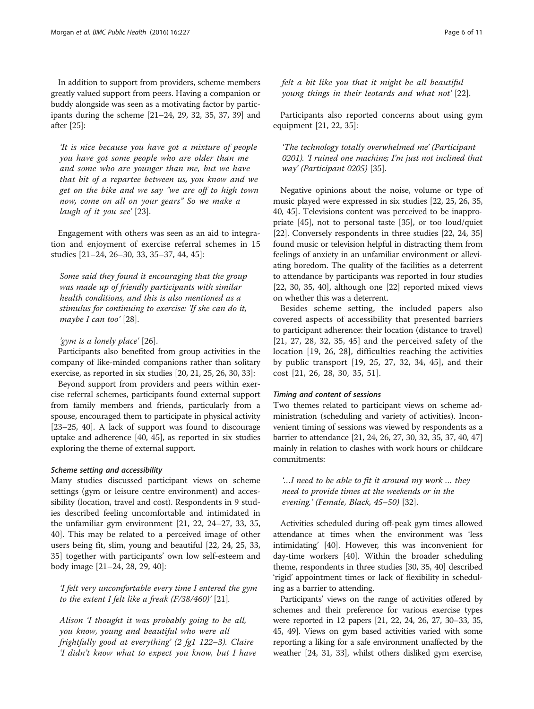In addition to support from providers, scheme members greatly valued support from peers. Having a companion or buddy alongside was seen as a motivating factor by participants during the scheme [\[21](#page-9-0)–[24](#page-9-0), [29, 32](#page-9-0), [35](#page-9-0), [37, 39](#page-10-0)] and after [[25](#page-9-0)]:

'It is nice because you have got a mixture of people you have got some people who are older than me and some who are younger than me, but we have that bit of a repartee between us, you know and we get on the bike and we say "we are off to high town now, come on all on your gears" So we make a laugh of it you see' [\[23](#page-9-0)].

Engagement with others was seen as an aid to integration and enjoyment of exercise referral schemes in 15 studies [\[21](#page-9-0)–[24, 26](#page-9-0)–[30](#page-9-0), [33](#page-9-0), [35](#page-9-0)–[37, 44, 45\]](#page-10-0):

Some said they found it encouraging that the group was made up of friendly participants with similar health conditions, and this is also mentioned as a stimulus for continuing to exercise: 'If she can do it, maybe I can too' [\[28\]](#page-9-0).

'gym is a lonely place' [\[26\]](#page-9-0).

Participants also benefited from group activities in the company of like-minded companions rather than solitary exercise, as reported in six studies [\[20, 21](#page-9-0), [25](#page-9-0), [26, 30](#page-9-0), [33](#page-9-0)]:

Beyond support from providers and peers within exercise referral schemes, participants found external support from family members and friends, particularly from a spouse, encouraged them to participate in physical activity [[23](#page-9-0)–[25,](#page-9-0) [40\]](#page-10-0). A lack of support was found to discourage uptake and adherence [\[40, 45](#page-10-0)], as reported in six studies exploring the theme of external support.

#### Scheme setting and accessibility

Many studies discussed participant views on scheme settings (gym or leisure centre environment) and accessibility (location, travel and cost). Respondents in 9 studies described feeling uncomfortable and intimidated in the unfamiliar gym environment [[21](#page-9-0), [22](#page-9-0), [24](#page-9-0)–[27, 33, 35](#page-9-0), [40\]](#page-10-0). This may be related to a perceived image of other users being fit, slim, young and beautiful [[22](#page-9-0), [24, 25](#page-9-0), [33](#page-9-0), [35\]](#page-9-0) together with participants' own low self-esteem and body image [[21](#page-9-0)–[24](#page-9-0), [28](#page-9-0), [29](#page-9-0), [40](#page-10-0)]:

'I felt very uncomfortable every time I entered the gym to the extent I felt like a freak  $(F/38/460)'$  [[21\]](#page-9-0).

Alison 'I thought it was probably going to be all, you know, young and beautiful who were all frightfully good at everything' (2 fg1 122–3). Claire 'I didn't know what to expect you know, but I have felt a bit like you that it might be all beautiful young things in their leotards and what not' [\[22\]](#page-9-0).

Participants also reported concerns about using gym equipment [[21, 22](#page-9-0), [35](#page-9-0)]:

'The technology totally overwhelmed me' (Participant 0201). 'I ruined one machine; I'm just not inclined that way' (Participant 0205) [\[35\]](#page-9-0).

Negative opinions about the noise, volume or type of music played were expressed in six studies [[22](#page-9-0), [25](#page-9-0), [26, 35](#page-9-0), [40](#page-10-0), [45](#page-10-0)]. Televisions content was perceived to be inappropriate [[45\]](#page-10-0), not to personal taste [[35](#page-9-0)], or too loud/quiet [[22](#page-9-0)]. Conversely respondents in three studies [\[22, 24](#page-9-0), [35](#page-9-0)] found music or television helpful in distracting them from feelings of anxiety in an unfamiliar environment or alleviating boredom. The quality of the facilities as a deterrent to attendance by participants was reported in four studies [[22](#page-9-0), [30](#page-9-0), [35,](#page-9-0) [40](#page-10-0)], although one [[22](#page-9-0)] reported mixed views on whether this was a deterrent.

Besides scheme setting, the included papers also covered aspects of accessibility that presented barriers to participant adherence: their location (distance to travel) [[21, 27](#page-9-0), [28](#page-9-0), [32, 35,](#page-9-0) [45\]](#page-10-0) and the perceived safety of the location [[19, 26, 28](#page-9-0)], difficulties reaching the activities by public transport [\[19](#page-9-0), [25](#page-9-0), [27, 32, 34](#page-9-0), [45](#page-10-0)], and their cost [[21, 26, 28](#page-9-0), [30](#page-9-0), [35](#page-9-0), [51\]](#page-10-0).

#### Timing and content of sessions

Two themes related to participant views on scheme administration (scheduling and variety of activities). Inconvenient timing of sessions was viewed by respondents as a barrier to attendance [[21](#page-9-0), [24](#page-9-0), [26, 27](#page-9-0), [30, 32](#page-9-0), [35,](#page-9-0) [37](#page-10-0), [40, 47](#page-10-0)] mainly in relation to clashes with work hours or childcare commitments:

'…I need to be able to fit it around my work … they need to provide times at the weekends or in the evening.' (Female, Black, 45–50) [[32](#page-9-0)].

Activities scheduled during off-peak gym times allowed attendance at times when the environment was 'less intimidating' [[40](#page-10-0)]. However, this was inconvenient for day-time workers [\[40\]](#page-10-0). Within the broader scheduling theme, respondents in three studies [\[30, 35,](#page-9-0) [40](#page-10-0)] described 'rigid' appointment times or lack of flexibility in scheduling as a barrier to attending.

Participants' views on the range of activities offered by schemes and their preference for various exercise types were reported in 12 papers [\[21](#page-9-0), [22, 24, 26, 27, 30](#page-9-0)–[33](#page-9-0), [35](#page-9-0), [45](#page-10-0), [49](#page-10-0)]. Views on gym based activities varied with some reporting a liking for a safe environment unaffected by the weather [\[24, 31](#page-9-0), [33](#page-9-0)], whilst others disliked gym exercise,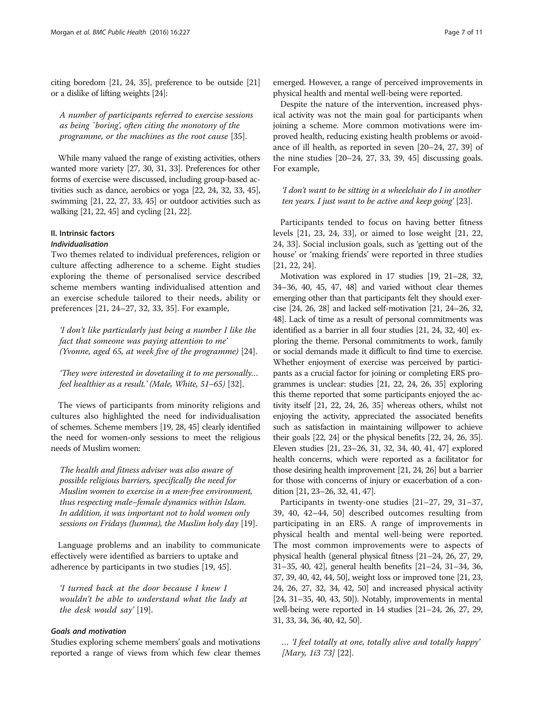citing boredom [[21, 24](#page-9-0), [35](#page-9-0)], preference to be outside [\[21](#page-9-0)] or a dislike of lifting weights [\[24\]](#page-9-0):

A number of participants referred to exercise sessions as being `boring', often citing the monotony of the programme, or the machines as the root cause [\[35](#page-9-0)].

While many valued the range of existing activities, others wanted more variety [[27](#page-9-0), [30, 31, 33\]](#page-9-0). Preferences for other forms of exercise were discussed, including group-based activities such as dance, aerobics or yoga [\[22, 24](#page-9-0), [32, 33,](#page-9-0) [45](#page-10-0)], swimming [[21](#page-9-0), [22, 27](#page-9-0), [33](#page-9-0), [45\]](#page-10-0) or outdoor activities such as walking [\[21, 22,](#page-9-0) [45\]](#page-10-0) and cycling [\[21, 22\]](#page-9-0).

# II. Intrinsic factors Individualisation

Two themes related to individual preferences, religion or culture affecting adherence to a scheme. Eight studies exploring the theme of personalised service described scheme members wanting individualised attention and an exercise schedule tailored to their needs, ability or preferences [\[21](#page-9-0), [24](#page-9-0)–[27, 32, 33, 35\]](#page-9-0). For example,

'I don't like particularly just being a number I like the fact that someone was paying attention to me' (Yvonne, aged 65, at week five of the programme) [\[24\]](#page-9-0).

'They were interested in dovetailing it to me personally… feel healthier as a result.' (Male, White, 51–65) [\[32\]](#page-9-0).

The views of participants from minority religions and cultures also highlighted the need for individualisation of schemes. Scheme members [\[19, 28](#page-9-0), [45\]](#page-10-0) clearly identified the need for women-only sessions to meet the religious needs of Muslim women:

The health and fitness adviser was also aware of possible religious barriers, specifically the need for Muslim women to exercise in a men-free environment, thus respecting male–female dynamics within Islam. In addition, it was important not to hold women only sessions on Fridays (Jumma), the Muslim holy day [[19\]](#page-9-0).

Language problems and an inability to communicate effectively were identified as barriers to uptake and adherence by participants in two studies [\[19,](#page-9-0) [45\]](#page-10-0).

'I turned back at the door because I knew I wouldn't be able to understand what the lady at the desk would say' [[19](#page-9-0)].

# Goals and motivation

Studies exploring scheme members' goals and motivations reported a range of views from which few clear themes

emerged. However, a range of perceived improvements in physical health and mental well-being were reported.

Despite the nature of the intervention, increased physical activity was not the main goal for participants when joining a scheme. More common motivations were improved health, reducing existing health problems or avoidance of ill health, as reported in seven [\[20](#page-9-0)–[24, 27,](#page-9-0) [39](#page-10-0)] of the nine studies [\[20](#page-9-0)–[24](#page-9-0), [27, 33,](#page-9-0) [39](#page-10-0), [45\]](#page-10-0) discussing goals. For example,

'I don't want to be sitting in a wheelchair do I in another ten years. I just want to be active and keep going' [\[23\]](#page-9-0).

Participants tended to focus on having better fitness levels [\[21](#page-9-0), [23](#page-9-0), [24](#page-9-0), [33](#page-9-0)], or aimed to lose weight [[21](#page-9-0), [22](#page-9-0), [24, 33\]](#page-9-0). Social inclusion goals, such as 'getting out of the house' or 'making friends' were reported in three studies [[21, 22, 24\]](#page-9-0).

Motivation was explored in 17 studies [[19](#page-9-0), [21](#page-9-0)–[28](#page-9-0), [32](#page-9-0), [34](#page-9-0)–[36](#page-9-0), [40, 45](#page-10-0), [47, 48](#page-10-0)] and varied without clear themes emerging other than that participants felt they should exercise [[24, 26, 28\]](#page-9-0) and lacked self-motivation [\[21, 24](#page-9-0)–[26, 32](#page-9-0), [48](#page-10-0)]. Lack of time as a result of personal commitments was identified as a barrier in all four studies [\[21, 24, 32,](#page-9-0) [40\]](#page-10-0) exploring the theme. Personal commitments to work, family or social demands made it difficult to find time to exercise. Whether enjoyment of exercise was perceived by participants as a crucial factor for joining or completing ERS programmes is unclear: studies [[21, 22](#page-9-0), [24, 26](#page-9-0), [35\]](#page-9-0) exploring this theme reported that some participants enjoyed the activity itself [\[21, 22](#page-9-0), [24, 26](#page-9-0), [35\]](#page-9-0) whereas others, whilst not enjoying the activity, appreciated the associated benefits such as satisfaction in maintaining willpower to achieve their goals [\[22](#page-9-0), [24\]](#page-9-0) or the physical benefits [\[22, 24](#page-9-0), [26, 35](#page-9-0)]. Eleven studies [[21](#page-9-0), [23](#page-9-0)–[26](#page-9-0), [31](#page-9-0), [32, 34,](#page-9-0) [40, 41, 47\]](#page-10-0) explored health concerns, which were reported as a facilitator for those desiring health improvement [[21](#page-9-0), [24](#page-9-0), [26](#page-9-0)] but a barrier for those with concerns of injury or exacerbation of a condition [\[21, 23](#page-9-0)–[26, 32,](#page-9-0) [41, 47](#page-10-0)].

Participants in twenty-one studies [[21](#page-9-0)–[27](#page-9-0), [29, 31](#page-9-0)–[37](#page-10-0), [39, 40, 42](#page-10-0)–[44](#page-10-0), [50](#page-10-0)] described outcomes resulting from participating in an ERS. A range of improvements in physical health and mental well-being were reported. The most common improvements were to aspects of physical health (general physical fitness [\[21](#page-9-0)–[24, 26, 27, 29](#page-9-0), [31](#page-9-0)–[35](#page-9-0), [40, 42](#page-10-0)], general health benefits [\[21](#page-9-0)–[24, 31](#page-9-0)–[34](#page-9-0), [36](#page-9-0), [37](#page-10-0), [39](#page-10-0), [40](#page-10-0), [42, 44, 50](#page-10-0)], weight loss or improved tone [[21](#page-9-0), [23](#page-9-0), [24](#page-9-0), [26, 27, 32](#page-9-0), [34,](#page-9-0) [42, 50](#page-10-0)] and increased physical activity [[24](#page-9-0), [31](#page-9-0)–[35](#page-9-0), [40](#page-10-0), [43](#page-10-0), [50](#page-10-0)]). Notably, improvements in mental well-being were reported in 14 studies [\[21](#page-9-0)–[24, 26](#page-9-0), [27](#page-9-0), [29](#page-9-0), [31](#page-9-0), [33](#page-9-0), [34](#page-9-0), [36](#page-9-0), [40](#page-10-0), [42](#page-10-0), [50](#page-10-0)].

… 'I feel totally at one, totally alive and totally happy' [*Mary, 1i3 73]* [[22](#page-9-0)].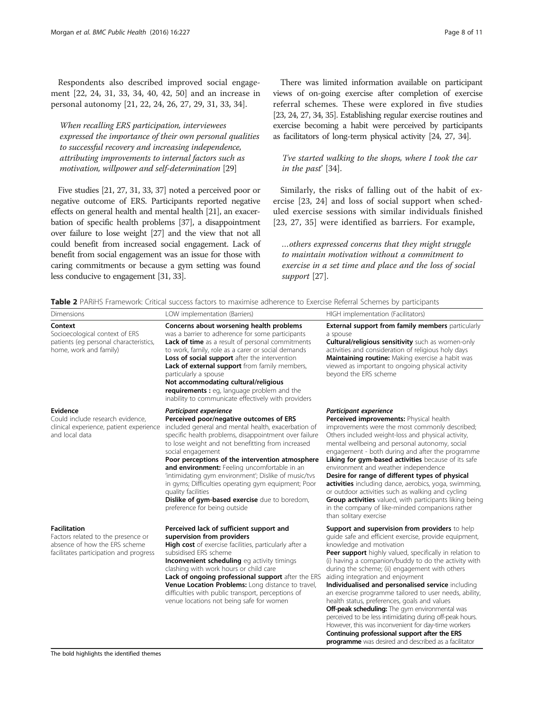<span id="page-7-0"></span>Respondents also described improved social engagement [[22, 24, 31](#page-9-0), [33](#page-9-0), [34](#page-9-0), [40](#page-10-0), [42, 50\]](#page-10-0) and an increase in personal autonomy [\[21](#page-9-0), [22](#page-9-0), [24, 26, 27, 29, 31, 33, 34](#page-9-0)].

When recalling ERS participation, interviewees expressed the importance of their own personal qualities to successful recovery and increasing independence, attributing improvements to internal factors such as motivation, willpower and self-determination [[29](#page-9-0)]

Five studies [\[21, 27, 31](#page-9-0), [33](#page-9-0), [37\]](#page-10-0) noted a perceived poor or negative outcome of ERS. Participants reported negative effects on general health and mental health [[21\]](#page-9-0), an exacerbation of specific health problems [\[37\]](#page-10-0), a disappointment over failure to lose weight [\[27](#page-9-0)] and the view that not all could benefit from increased social engagement. Lack of benefit from social engagement was an issue for those with caring commitments or because a gym setting was found less conducive to engagement [[31](#page-9-0), [33](#page-9-0)].

There was limited information available on participant views of on-going exercise after completion of exercise referral schemes. These were explored in five studies [[23, 24, 27, 34](#page-9-0), [35](#page-9-0)]. Establishing regular exercise routines and exercise becoming a habit were perceived by participants as facilitators of long-term physical activity [\[24](#page-9-0), [27](#page-9-0), [34](#page-9-0)].

'I've started walking to the shops, where I took the car in the past' [\[34](#page-9-0)].

Similarly, the risks of falling out of the habit of exercise [[23, 24](#page-9-0)] and loss of social support when scheduled exercise sessions with similar individuals finished [[23](#page-9-0), [27](#page-9-0), [35](#page-9-0)] were identified as barriers. For example,

…others expressed concerns that they might struggle to maintain motivation without a commitment to exercise in a set time and place and the loss of social support [\[27](#page-9-0)].

| Dimensions                                                                                                                           | LOW implementation (Barriers)                                                                                                                                                                                                                                                                                                                                                                                                                                                                                                                                                        | HIGH implementation (Facilitators)                                                                                                                                                                                                                                                                                                                                                                                                                                                                                                                                                                                                                                                      |
|--------------------------------------------------------------------------------------------------------------------------------------|--------------------------------------------------------------------------------------------------------------------------------------------------------------------------------------------------------------------------------------------------------------------------------------------------------------------------------------------------------------------------------------------------------------------------------------------------------------------------------------------------------------------------------------------------------------------------------------|-----------------------------------------------------------------------------------------------------------------------------------------------------------------------------------------------------------------------------------------------------------------------------------------------------------------------------------------------------------------------------------------------------------------------------------------------------------------------------------------------------------------------------------------------------------------------------------------------------------------------------------------------------------------------------------------|
| Context<br>Socioecological context of ERS<br>patients (eq personal characteristics,<br>home, work and family)                        | Concerns about worsening health problems<br>was a barrier to adherence for some participants<br>Lack of time as a result of personal commitments<br>to work, family, role as a carer or social demands<br>Loss of social support after the intervention<br>Lack of external support from family members,<br>particularly a spouse<br>Not accommodating cultural/religious<br>requirements : eq, language problem and the<br>inability to communicate effectively with providers                                                                                                      | <b>External support from family members</b> particularly<br>a spouse<br>Cultural/religious sensitivity such as women-only<br>activities and consideration of religious holy days<br>Maintaining routine: Making exercise a habit was<br>viewed as important to ongoing physical activity<br>beyond the ERS scheme                                                                                                                                                                                                                                                                                                                                                                       |
| Evidence<br>Could include research evidence,<br>clinical experience, patient experience<br>and local data                            | Participant experience<br>Perceived poor/negative outcomes of ERS<br>included general and mental health, exacerbation of<br>specific health problems, disappointment over failure<br>to lose weight and not benefitting from increased<br>social engagement<br>Poor perceptions of the intervention atmosphere<br>and environment: Feeling uncomfortable in an<br>'intimidating gym environment'; Dislike of music/tvs<br>in gyms; Difficulties operating gym equipment; Poor<br>quality facilities<br>Dislike of gym-based exercise due to boredom,<br>preference for being outside | Participant experience<br>Perceived improvements: Physical health<br>improvements were the most commonly described;<br>Others included weight-loss and physical activity,<br>mental wellbeing and personal autonomy, social<br>engagement - both during and after the programme<br>Liking for gym-based activities because of its safe<br>environment and weather independence<br>Desire for range of different types of physical<br>activities including dance, aerobics, yoga, swimming,<br>or outdoor activities such as walking and cycling<br>Group activities valued, with participants liking being<br>in the company of like-minded companions rather<br>than solitary exercise |
| <b>Facilitation</b><br>Factors related to the presence or<br>absence of how the ERS scheme<br>facilitates participation and progress | Perceived lack of sufficient support and<br>supervision from providers<br>High cost of exercise facilities, particularly after a<br>subsidised ERS scheme<br><b>Inconvenient scheduling</b> eq activity timings<br>clashing with work hours or child care<br>Lack of ongoing professional support after the ERS<br>Venue Location Problems: Long distance to travel,<br>difficulties with public transport, perceptions of<br>venue locations not being safe for women                                                                                                               | Support and supervision from providers to help<br>guide safe and efficient exercise, provide equipment,<br>knowledge and motivation<br>Peer support highly valued, specifically in relation to<br>(i) having a companion/buddy to do the activity with<br>during the scheme; (ii) engagement with others<br>aiding integration and enjoyment<br>Individualised and personalised service including<br>an exercise programme tailored to user needs, ability,<br>health status, preferences, goals and values<br><b>Off-peak scheduling:</b> The gym environmental was<br>perceived to be less intimidating during off-peak hours.<br>However, this was inconvenient for day-time workers |

Continuing professional support after the ERS programme was desired and described as a facilitator

The bold highlights the identified themes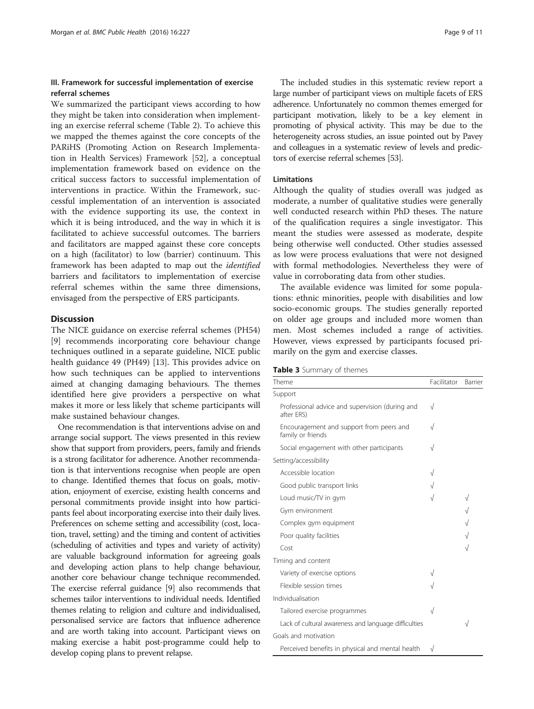# <span id="page-8-0"></span>III. Framework for successful implementation of exercise referral schemes

We summarized the participant views according to how they might be taken into consideration when implementing an exercise referral scheme (Table [2\)](#page-7-0). To achieve this we mapped the themes against the core concepts of the PARiHS (Promoting Action on Research Implementation in Health Services) Framework [\[52](#page-10-0)], a conceptual implementation framework based on evidence on the critical success factors to successful implementation of interventions in practice. Within the Framework, successful implementation of an intervention is associated with the evidence supporting its use, the context in which it is being introduced, and the way in which it is facilitated to achieve successful outcomes. The barriers and facilitators are mapped against these core concepts on a high (facilitator) to low (barrier) continuum. This framework has been adapted to map out the identified barriers and facilitators to implementation of exercise referral schemes within the same three dimensions, envisaged from the perspective of ERS participants.

# **Discussion**

The NICE guidance on exercise referral schemes (PH54) [[9\]](#page-9-0) recommends incorporating core behaviour change techniques outlined in a separate guideline, NICE public health guidance 49 (PH49) [[13](#page-9-0)]. This provides advice on how such techniques can be applied to interventions aimed at changing damaging behaviours. The themes identified here give providers a perspective on what makes it more or less likely that scheme participants will make sustained behaviour changes.

One recommendation is that interventions advise on and arrange social support. The views presented in this review show that support from providers, peers, family and friends is a strong facilitator for adherence. Another recommendation is that interventions recognise when people are open to change. Identified themes that focus on goals, motivation, enjoyment of exercise, existing health concerns and personal commitments provide insight into how participants feel about incorporating exercise into their daily lives. Preferences on scheme setting and accessibility (cost, location, travel, setting) and the timing and content of activities (scheduling of activities and types and variety of activity) are valuable background information for agreeing goals and developing action plans to help change behaviour, another core behaviour change technique recommended. The exercise referral guidance [[9](#page-9-0)] also recommends that schemes tailor interventions to individual needs. Identified themes relating to religion and culture and individualised, personalised service are factors that influence adherence and are worth taking into account. Participant views on making exercise a habit post-programme could help to develop coping plans to prevent relapse.

The included studies in this systematic review report a large number of participant views on multiple facets of ERS adherence. Unfortunately no common themes emerged for participant motivation, likely to be a key element in promoting of physical activity. This may be due to the heterogeneity across studies, an issue pointed out by Pavey and colleagues in a systematic review of levels and predictors of exercise referral schemes [\[53\]](#page-10-0).

#### Limitations

Although the quality of studies overall was judged as moderate, a number of qualitative studies were generally well conducted research within PhD theses. The nature of the qualification requires a single investigator. This meant the studies were assessed as moderate, despite being otherwise well conducted. Other studies assessed as low were process evaluations that were not designed with formal methodologies. Nevertheless they were of value in corroborating data from other studies.

The available evidence was limited for some populations: ethnic minorities, people with disabilities and low socio-economic groups. The studies generally reported on older age groups and included more women than men. Most schemes included a range of activities. However, views expressed by participants focused primarily on the gym and exercise classes.

Table 3 Summary of themes

| Theme                                                         | Facilitator | Barrier   |
|---------------------------------------------------------------|-------------|-----------|
| Support                                                       |             |           |
| Professional advice and supervision (during and<br>after ERS) | $\sqrt{}$   |           |
| Encouragement and support from peers and<br>family or friends |             |           |
| Social engagement with other participants                     |             |           |
| Setting/accessibility                                         |             |           |
| Accessible location                                           | $\sqrt{}$   |           |
| Good public transport links                                   |             |           |
| Loud music/TV in gym                                          |             | V         |
| Gym environment                                               |             |           |
| Complex gym equipment                                         |             | $\sqrt{}$ |
| Poor quality facilities                                       |             |           |
| Cost                                                          |             |           |
| Timing and content                                            |             |           |
| Variety of exercise options                                   |             |           |
| Flexible session times                                        |             |           |
| Individualisation                                             |             |           |
| Tailored exercise programmes                                  |             |           |
| Lack of cultural awareness and language difficulties          |             | V         |
| Goals and motivation                                          |             |           |
| Perceived benefits in physical and mental health              | V           |           |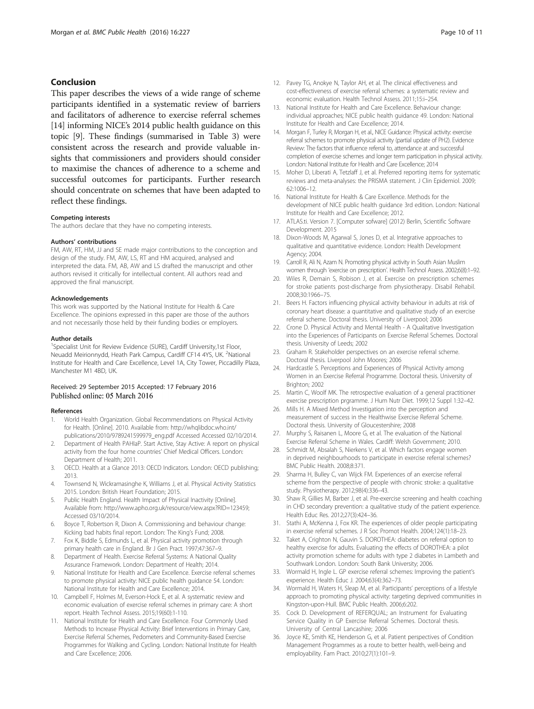# <span id="page-9-0"></span>Conclusion

This paper describes the views of a wide range of scheme participants identified in a systematic review of barriers and facilitators of adherence to exercise referral schemes [14] informing NICE's 2014 public health guidance on this topic [9]. These findings (summarised in Table [3\)](#page-8-0) were consistent across the research and provide valuable insights that commissioners and providers should consider to maximise the chances of adherence to a scheme and successful outcomes for participants. Further research should concentrate on schemes that have been adapted to reflect these findings.

#### Competing interests

The authors declare that they have no competing interests.

#### Authors' contributions

FM, AW, RT, HM, JJ and SE made major contributions to the conception and design of the study. FM, AW, LS, RT and HM acquired, analysed and interpreted the data. FM, AB, AW and LS drafted the manuscript and other authors revised it critically for intellectual content. All authors read and approved the final manuscript.

#### Acknowledgements

This work was supported by the National Institute for Health & Care Excellence. The opinions expressed in this paper are those of the authors and not necessarily those held by their funding bodies or employers.

#### Author details

<sup>1</sup>Specialist Unit for Review Evidence (SURE), Cardiff University,1st Floor, Neuadd Meirionnydd, Heath Park Campus, Cardiff CF14 4YS, UK. <sup>2</sup>National Institute for Health and Care Excellence, Level 1A, City Tower, Piccadilly Plaza, Manchester M1 4BD, UK.

# Received: 29 September 2015 Accepted: 17 February 2016 Published online: 05 March 2016

#### References

- 1. World Health Organization. Global Recommendations on Physical Activity for Health. [Online]. 2010. Available from: [http://whqlibdoc.who.int/](http://whqlibdoc.who.int/publications/2010/9789241599979_eng.pdf) [publications/2010/9789241599979\\_eng.pdf Accessed](http://whqlibdoc.who.int/publications/2010/9789241599979_eng.pdf) Accessed 02/10/2014.
- 2. Department of Health PAHIaP. Start Active, Stay Active: A report on physical activity from the four home countries' Chief Medical Officers. London: Department of Health; 2011.
- 3. OECD. Health at a Glance 2013: OECD Indicators. London: OECD publishing; 2013.
- 4. Townsend N, Wickramasinghe K, Williams J, et al. Physical Activity Statistics 2015. London: British Heart Foundation; 2015.
- 5. Public Health England. Health Impact of Physical Inactivity [Online]. Available from:<http://www.apho.org.uk/resource/view.aspx?RID=123459>; Accessed 03/10/2014.
- 6. Boyce T, Robertson R, Dixon A. Commissioning and behaviour change: Kicking bad habits final report. London: The King's Fund; 2008.
- 7. Fox K, Biddle S, Edmunds L, et al. Physical activity promotion through primary health care in England. Br J Gen Pract. 1997;47:367–9.
- 8. Department of Health. Exercise Referral Systems: A National Quality Assurance Framework. London: Department of Health; 2014.
- 9. National Institute for Health and Care Excellence. Exercise referral schemes to promote physical activity: NICE public health guidance 54. London: National Institute for Health and Care Excellence; 2014.
- 10. Campbell F, Holmes M, Everson-Hock E, et al. A systematic review and economic evaluation of exercise referral schemes in primary care: A short report. Health Technol Assess. 2015;19(60):1-110.
- 11. National Institute for Health and Care Excellence. Four Commonly Used Methods to Increase Physical Activity: Brief Interventions in Primary Care, Exercise Referral Schemes, Pedometers and Community-Based Exercise Programmes for Walking and Cycling. London: National Institute for Health and Care Excellence; 2006.
- 12. Pavey TG, Anokye N, Taylor AH, et al. The clinical effectiveness and cost-effectiveness of exercise referral schemes: a systematic review and economic evaluation. Health Technol Assess. 2011;15:i–254.
- 13. National Institute for Health and Care Excellence. Behaviour change: individual approaches; NICE public health guidance 49. London: National Institute for Health and Care Excellence; 2014.
- 14. Morgan F, Turley R, Morgan H, et al., NICE Guidance: Physical activity: exercise referral schemes to promote physical activity (partial update of PH2). Evidence Review: The factors that influence referral to, attendance at and successful completion of exercise schemes and longer term participation in physical activity. London: National Institute for Health and Care Excellence; 2014
- 15. Moher D, Liberati A, Tetzlaff J, et al. Preferred reporting items for systematic reviews and meta-analyses: the PRISMA statement. J Clin Epidemiol. 2009; 62:1006–12.
- 16. National Institute for Health & Care Excellence. Methods for the development of NICE public health guidance 3rd edition. London: National Institute for Health and Care Excellence; 2012.
- 17. ATLAS.ti. Version 7. [Computer sofware] (2012) Berlin, Scientific Software Development. 2015
- 18. Dixon-Woods M, Agarwal S, Jones D, et al. Integrative approaches to qualitative and quantitative evidence. London: Health Development Agency; 2004.
- 19. Carroll R, Ali N, Azam N. Promoting physical activity in South Asian Muslim women through 'exercise on prescription'. Health Technol Assess. 2002;6(8):1–92.
- 20. Wiles R, Demain S, Robison J, et al. Exercise on prescription schemes for stroke patients post-discharge from physiotherapy. Disabil Rehabil. 2008;30:1966–75.
- 21. Beers H. Factors influencing physical activity behaviour in adults at risk of coronary heart disease: a quantitative and qualitative study of an exercise referral scheme. Doctoral thesis. University of Liverpool; 2006
- 22. Crone D. Physical Activity and Mental Health A Qualitative Investigation into the Experiences of Participants on Exercise Referral Schemes. Doctoral thesis. University of Leeds; 2002
- 23. Graham R. Stakeholder perspectives on an exercise referral scheme. Doctoral thesis. Liverpool John Moores; 2006
- 24. Hardcastle S. Perceptions and Experiences of Physical Activity among Women in an Exercise Referral Programme. Doctoral thesis. University of Brighton; 2002
- 25. Martin C, Woolf MK. The retrospective evaluation of a general practitioner exercise prescription prgramme. J Hum Nutr Diet. 1999;12 Suppl 1:32–42.
- 26. Mills H. A Mixed Method Investigation into the perception and measurement of success in the Healthwise Exercise Referral Scheme. Doctoral thesis. University of Gloucestershire; 2008
- 27. Murphy S, Raisanen L, Moore G, et al. The evaluation of the National Exercise Referral Scheme in Wales. Cardiff: Welsh Government; 2010.
- 28. Schmidt M, Absalah S, Nierkens V, et al. Which factors engage women in deprived neighbourhoods to participate in exercise referral schemes? BMC Public Health. 2008;8:371.
- 29. Sharma H, Bulley C, van Wijck FM. Experiences of an exercise referral scheme from the perspective of people with chronic stroke: a qualitative study. Physiotherapy. 2012;98(4):336–43.
- 30. Shaw R, Gillies M, Barber J, et al. Pre-exercise screening and health coaching in CHD secondary prevention: a qualitative study of the patient experience. Health Educ Res. 2012;27(3):424–36.
- 31. Stathi A, McKenna J, Fox KR. The experiences of older people participating in exercise referral schemes. J R Soc Promot Health. 2004;124(1):18–23.
- 32. Taket A, Crighton N, Gauvin S. DOROTHEA: diabetes on referral option to healthy exercise for adults. Evaluating the effects of DOROTHEA: a pilot activity promotion scheme for adults with type 2 diabetes in Lambeth and Southwark London. London: South Bank University; 2006.
- 33. Wormald H, Ingle L. GP exercise referral schemes: Improving the patient's experience. Health Educ J. 2004;63(4):362–73.
- 34. Wormald H, Waters H, Sleap M, et al. Participants' perceptions of a lifestyle approach to promoting physical activity: targeting deprived communities in Kingston-upon-Hull. BMC Public Health. 2006;6:202.
- 35. Cock D. Development of REFERQUAL; an Instrument for Evaluating Service Quality in GP Exercise Referral Schemes. Doctoral thesis. University of Central Lancashire; 2006
- 36. Joyce KE, Smith KE, Henderson G, et al. Patient perspectives of Condition Management Programmes as a route to better health, well-being and employability. Fam Pract. 2010;27(1):101–9.